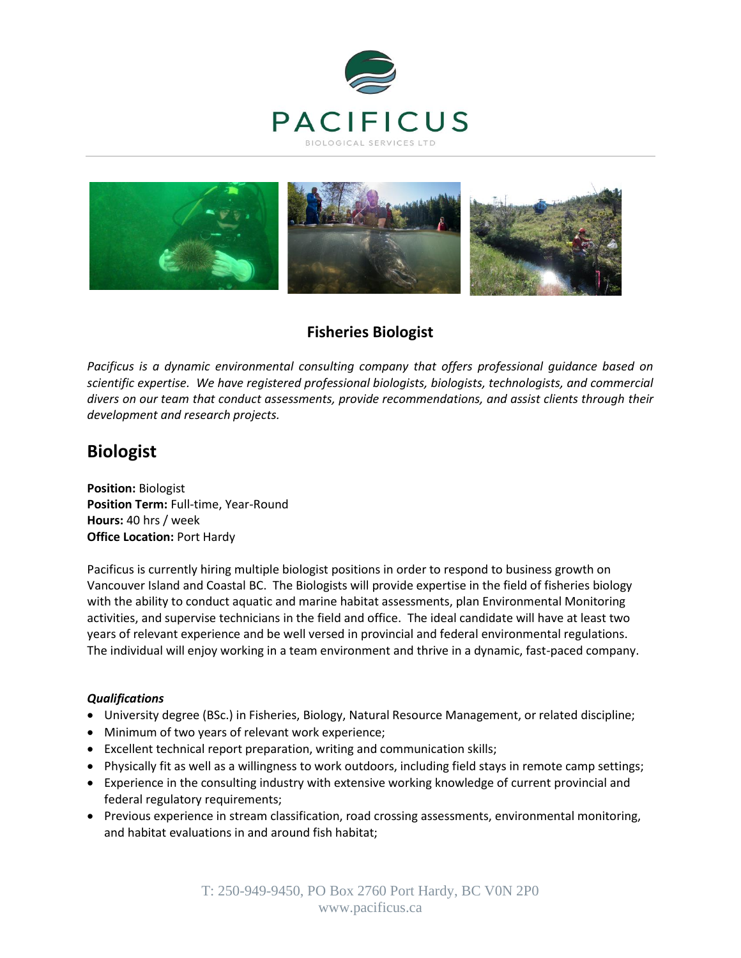



# **Fisheries Biologist**

*Pacificus is a dynamic environmental consulting company that offers professional guidance based on scientific expertise. We have registered professional biologists, biologists, technologists, and commercial divers on our team that conduct assessments, provide recommendations, and assist clients through their development and research projects.* 

# **Biologist**

**Position:** Biologist **Position Term:** Full-time, Year-Round **Hours:** 40 hrs / week **Office Location:** Port Hardy

Pacificus is currently hiring multiple biologist positions in order to respond to business growth on Vancouver Island and Coastal BC. The Biologists will provide expertise in the field of fisheries biology with the ability to conduct aquatic and marine habitat assessments, plan Environmental Monitoring activities, and supervise technicians in the field and office. The ideal candidate will have at least two years of relevant experience and be well versed in provincial and federal environmental regulations. The individual will enjoy working in a team environment and thrive in a dynamic, fast-paced company.

## *Qualifications*

- University degree (BSc.) in Fisheries, Biology, Natural Resource Management, or related discipline;
- Minimum of two years of relevant work experience;
- Excellent technical report preparation, writing and communication skills;
- Physically fit as well as a willingness to work outdoors, including field stays in remote camp settings;
- Experience in the consulting industry with extensive working knowledge of current provincial and federal regulatory requirements;
- Previous experience in stream classification, road crossing assessments, environmental monitoring, and habitat evaluations in and around fish habitat;